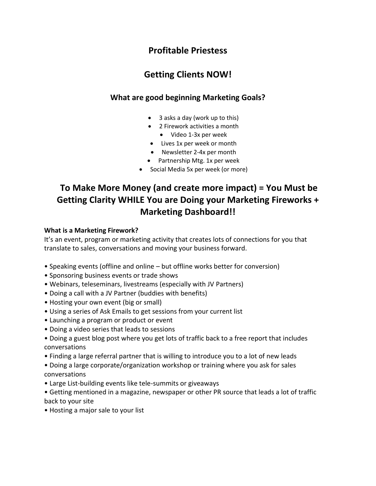## **Profitable Priestess**

## **Getting Clients NOW!**

### **What are good beginning Marketing Goals?**

- 3 asks a day (work up to this)
- 2 Firework activities a month
	- Video 1-3x per week
- Lives 1x per week or month
- Newsletter 2-4x per month
- Partnership Mtg. 1x per week
- Social Media 5x per week (or more)

# **To Make More Money (and create more impact) = You Must be Getting Clarity WHILE You are Doing your Marketing Fireworks + Marketing Dashboard!!**

#### **What is a Marketing Firework?**

It's an event, program or marketing activity that creates lots of connections for you that translate to sales, conversations and moving your business forward.

- Speaking events (offline and online but offline works better for conversion)
- Sponsoring business events or trade shows
- Webinars, teleseminars, livestreams (especially with JV Partners)
- Doing a call with a JV Partner (buddies with benefits)
- Hosting your own event (big or small)
- Using a series of Ask Emails to get sessions from your current list
- Launching a program or product or event
- Doing a video series that leads to sessions
- Doing a guest blog post where you get lots of traffic back to a free report that includes conversations
- Finding a large referral partner that is willing to introduce you to a lot of new leads
- Doing a large corporate/organization workshop or training where you ask for sales conversations
- Large List-building events like tele-summits or giveaways
- Getting mentioned in a magazine, newspaper or other PR source that leads a lot of traffic back to your site
- Hosting a major sale to your list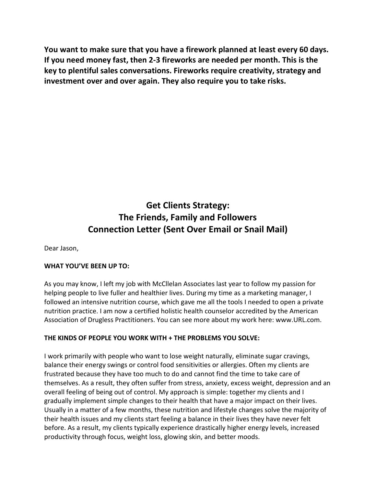**You want to make sure that you have a firework planned at least every 60 days. If you need money fast, then 2-3 fireworks are needed per month. This is the key to plentiful sales conversations. Fireworks require creativity, strategy and investment over and over again. They also require you to take risks.**

# **Get Clients Strategy: The Friends, Family and Followers Connection Letter (Sent Over Email or Snail Mail)**

Dear Jason,

#### **WHAT YOU'VE BEEN UP TO:**

As you may know, I left my job with McCllelan Associates last year to follow my passion for helping people to live fuller and healthier lives. During my time as a marketing manager, I followed an intensive nutrition course, which gave me all the tools I needed to open a private nutrition practice. I am now a certified holistic health counselor accredited by the American Association of Drugless Practitioners. You can see more about my work here: www.URL.com.

#### **THE KINDS OF PEOPLE YOU WORK WITH + THE PROBLEMS YOU SOLVE:**

I work primarily with people who want to lose weight naturally, eliminate sugar cravings, balance their energy swings or control food sensitivities or allergies. Often my clients are frustrated because they have too much to do and cannot find the time to take care of themselves. As a result, they often suffer from stress, anxiety, excess weight, depression and an overall feeling of being out of control. My approach is simple: together my clients and I gradually implement simple changes to their health that have a major impact on their lives. Usually in a matter of a few months, these nutrition and lifestyle changes solve the majority of their health issues and my clients start feeling a balance in their lives they have never felt before. As a result, my clients typically experience drastically higher energy levels, increased productivity through focus, weight loss, glowing skin, and better moods.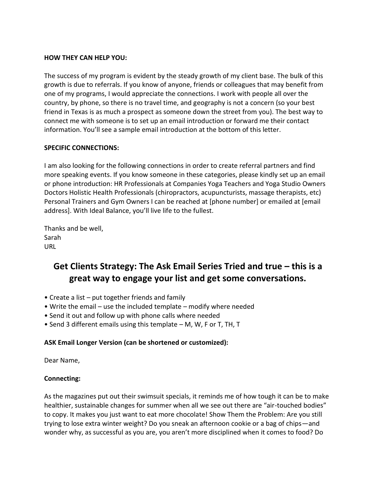#### **HOW THEY CAN HELP YOU:**

The success of my program is evident by the steady growth of my client base. The bulk of this growth is due to referrals. If you know of anyone, friends or colleagues that may benefit from one of my programs, I would appreciate the connections. I work with people all over the country, by phone, so there is no travel time, and geography is not a concern (so your best friend in Texas is as much a prospect as someone down the street from you). The best way to connect me with someone is to set up an email introduction or forward me their contact information. You'll see a sample email introduction at the bottom of this letter.

#### **SPECIFIC CONNECTIONS:**

I am also looking for the following connections in order to create referral partners and find more speaking events. If you know someone in these categories, please kindly set up an email or phone introduction: HR Professionals at Companies Yoga Teachers and Yoga Studio Owners Doctors Holistic Health Professionals (chiropractors, acupuncturists, massage therapists, etc) Personal Trainers and Gym Owners I can be reached at [phone number] or emailed at [email address]. With Ideal Balance, you'll live life to the fullest.

Thanks and be well, Sarah URL

# **Get Clients Strategy: The Ask Email Series Tried and true – this is a great way to engage your list and get some conversations.**

- Create a list put together friends and family
- Write the email use the included template modify where needed
- Send it out and follow up with phone calls where needed
- Send 3 different emails using this template M, W, F or T, TH, T

#### **ASK Email Longer Version (can be shortened or customized):**

Dear Name,

#### **Connecting:**

As the magazines put out their swimsuit specials, it reminds me of how tough it can be to make healthier, sustainable changes for summer when all we see out there are "air-touched bodies" to copy. It makes you just want to eat more chocolate! Show Them the Problem: Are you still trying to lose extra winter weight? Do you sneak an afternoon cookie or a bag of chips—and wonder why, as successful as you are, you aren't more disciplined when it comes to food? Do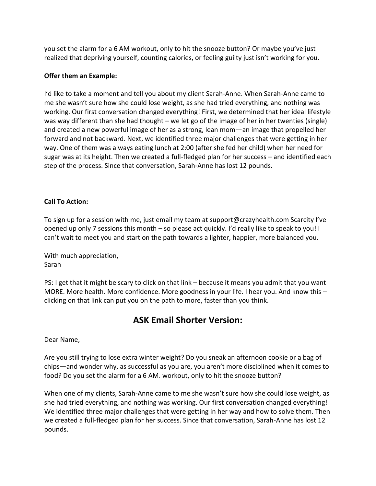you set the alarm for a 6 AM workout, only to hit the snooze button? Or maybe you've just realized that depriving yourself, counting calories, or feeling guilty just isn't working for you.

#### **Offer them an Example:**

I'd like to take a moment and tell you about my client Sarah-Anne. When Sarah-Anne came to me she wasn't sure how she could lose weight, as she had tried everything, and nothing was working. Our first conversation changed everything! First, we determined that her ideal lifestyle was way different than she had thought – we let go of the image of her in her twenties (single) and created a new powerful image of her as a strong, lean mom—an image that propelled her forward and not backward. Next, we identified three major challenges that were getting in her way. One of them was always eating lunch at 2:00 (after she fed her child) when her need for sugar was at its height. Then we created a full-fledged plan for her success – and identified each step of the process. Since that conversation, Sarah-Anne has lost 12 pounds.

#### **Call To Action:**

To sign up for a session with me, just email my team at support@crazyhealth.com Scarcity I've opened up only 7 sessions this month – so please act quickly. I'd really like to speak to you! I can't wait to meet you and start on the path towards a lighter, happier, more balanced you.

With much appreciation, Sarah

PS: I get that it might be scary to click on that link – because it means you admit that you want MORE. More health. More confidence. More goodness in your life. I hear you. And know this – clicking on that link can put you on the path to more, faster than you think.

### **ASK Email Shorter Version:**

Dear Name,

Are you still trying to lose extra winter weight? Do you sneak an afternoon cookie or a bag of chips—and wonder why, as successful as you are, you aren't more disciplined when it comes to food? Do you set the alarm for a 6 AM. workout, only to hit the snooze button?

When one of my clients, Sarah-Anne came to me she wasn't sure how she could lose weight, as she had tried everything, and nothing was working. Our first conversation changed everything! We identified three major challenges that were getting in her way and how to solve them. Then we created a full-fledged plan for her success. Since that conversation, Sarah-Anne has lost 12 pounds.